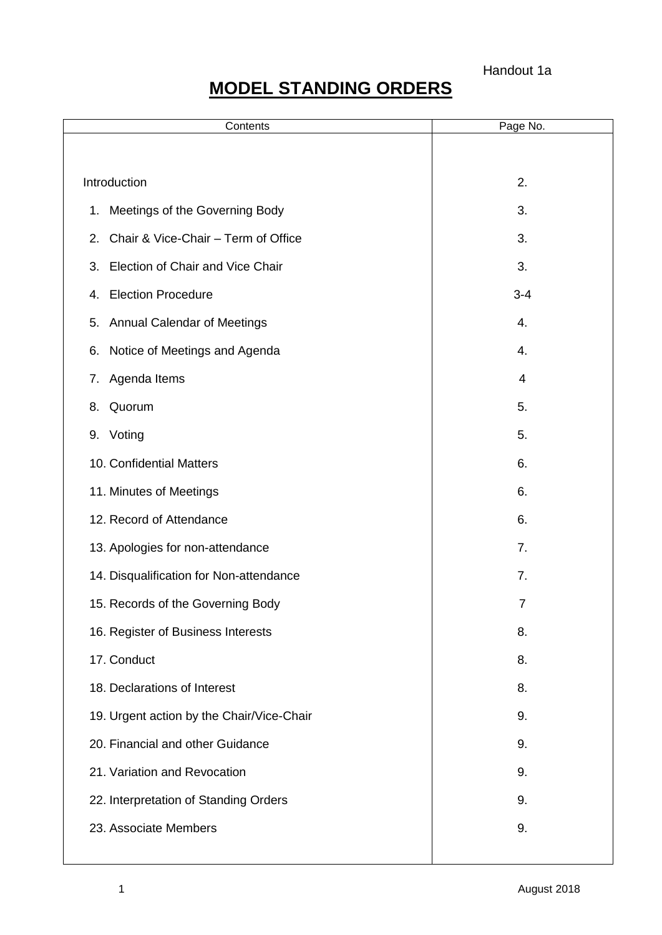# **MODEL STANDING ORDERS**

| Contents                                      | Page No.       |
|-----------------------------------------------|----------------|
|                                               |                |
| Introduction                                  | 2.             |
| Meetings of the Governing Body<br>$1_{\cdot}$ | 3.             |
| Chair & Vice-Chair - Term of Office<br>2.     | 3.             |
| Election of Chair and Vice Chair<br>3.        | 3.             |
| <b>Election Procedure</b><br>4.               | $3 - 4$        |
| <b>Annual Calendar of Meetings</b><br>5.      | 4.             |
| Notice of Meetings and Agenda<br>6.           | 4.             |
| Agenda Items<br>7.                            | 4              |
| Quorum<br>8.                                  | 5.             |
| 9. Voting                                     | 5.             |
| 10. Confidential Matters                      | 6.             |
| 11. Minutes of Meetings                       | 6.             |
| 12. Record of Attendance                      | 6.             |
| 13. Apologies for non-attendance              | 7.             |
| 14. Disqualification for Non-attendance       | 7.             |
| 15. Records of the Governing Body             | $\overline{7}$ |
| 16. Register of Business Interests            | 8.             |
| 17. Conduct                                   | 8.             |
| 18. Declarations of Interest                  | 8.             |
| 19. Urgent action by the Chair/Vice-Chair     | 9.             |
| 20. Financial and other Guidance              | 9.             |
| 21. Variation and Revocation                  | 9.             |
| 22. Interpretation of Standing Orders         | 9.             |
| 23. Associate Members                         | 9.             |
|                                               |                |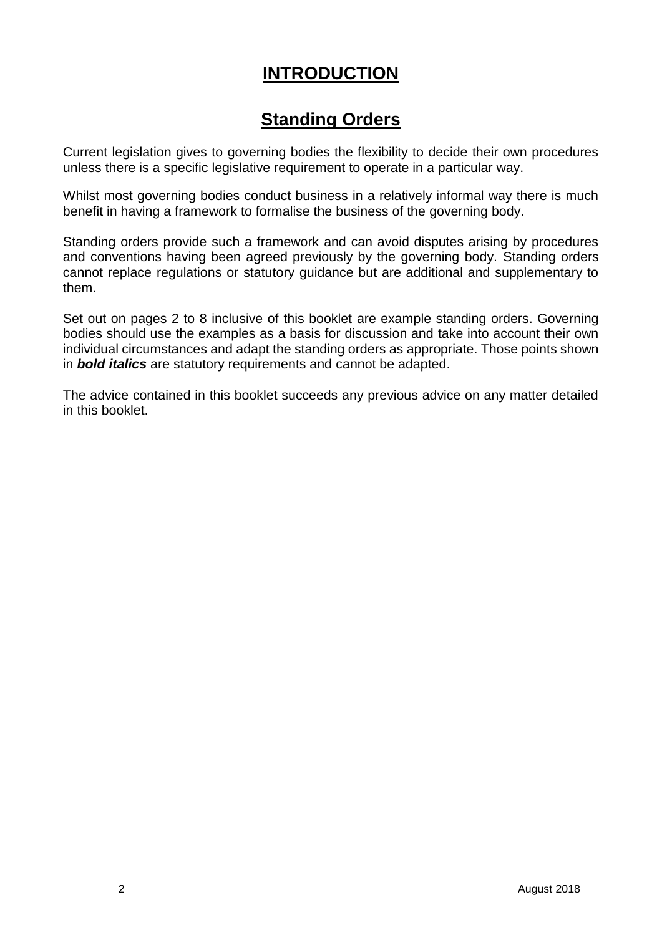# **INTRODUCTION**

# **Standing Orders**

Current legislation gives to governing bodies the flexibility to decide their own procedures unless there is a specific legislative requirement to operate in a particular way.

Whilst most governing bodies conduct business in a relatively informal way there is much benefit in having a framework to formalise the business of the governing body.

Standing orders provide such a framework and can avoid disputes arising by procedures and conventions having been agreed previously by the governing body. Standing orders cannot replace regulations or statutory guidance but are additional and supplementary to them.

Set out on pages 2 to 8 inclusive of this booklet are example standing orders. Governing bodies should use the examples as a basis for discussion and take into account their own individual circumstances and adapt the standing orders as appropriate. Those points shown in *bold italics* are statutory requirements and cannot be adapted.

The advice contained in this booklet succeeds any previous advice on any matter detailed in this booklet.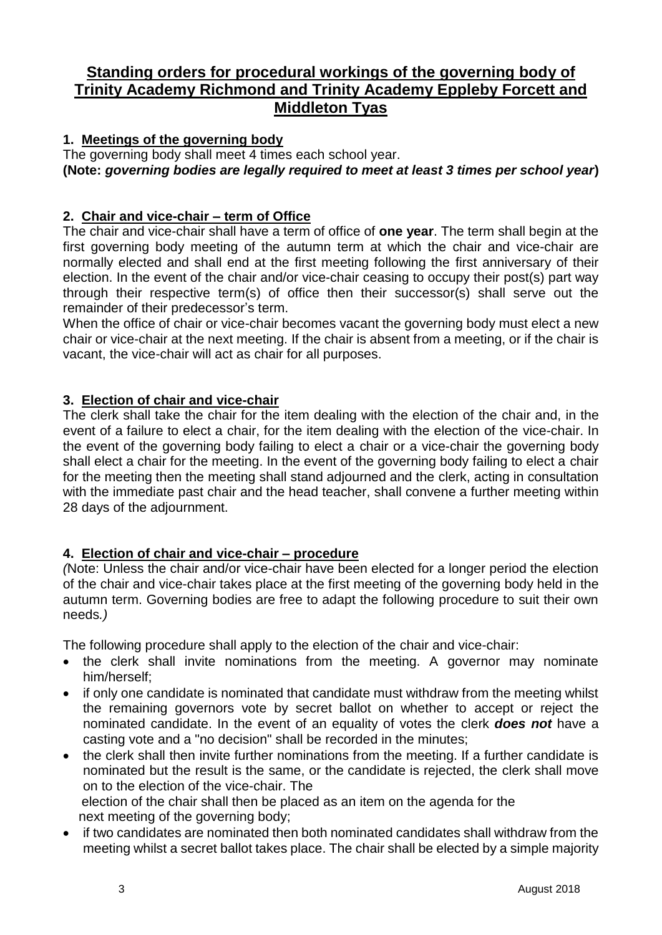# **Standing orders for procedural workings of the governing body of Trinity Academy Richmond and Trinity Academy Eppleby Forcett and Middleton Tyas**

### **1. Meetings of the governing body**

The governing body shall meet 4 times each school year. **(Note:** *governing bodies are legally required to meet at least 3 times per school year***)**

### **2. Chair and vice-chair – term of Office**

The chair and vice-chair shall have a term of office of **one year**. The term shall begin at the first governing body meeting of the autumn term at which the chair and vice-chair are normally elected and shall end at the first meeting following the first anniversary of their election. In the event of the chair and/or vice-chair ceasing to occupy their post(s) part way through their respective term(s) of office then their successor(s) shall serve out the remainder of their predecessor's term.

When the office of chair or vice-chair becomes vacant the governing body must elect a new chair or vice-chair at the next meeting. If the chair is absent from a meeting, or if the chair is vacant, the vice-chair will act as chair for all purposes.

#### **3. Election of chair and vice-chair**

The clerk shall take the chair for the item dealing with the election of the chair and, in the event of a failure to elect a chair, for the item dealing with the election of the vice-chair. In the event of the governing body failing to elect a chair or a vice-chair the governing body shall elect a chair for the meeting. In the event of the governing body failing to elect a chair for the meeting then the meeting shall stand adjourned and the clerk, acting in consultation with the immediate past chair and the head teacher, shall convene a further meeting within 28 days of the adjournment.

#### **4. Election of chair and vice-chair – procedure**

*(*Note: Unless the chair and/or vice-chair have been elected for a longer period the election of the chair and vice-chair takes place at the first meeting of the governing body held in the autumn term. Governing bodies are free to adapt the following procedure to suit their own needs*.)*

The following procedure shall apply to the election of the chair and vice-chair:

- the clerk shall invite nominations from the meeting. A governor may nominate him/herself;
- if only one candidate is nominated that candidate must withdraw from the meeting whilst the remaining governors vote by secret ballot on whether to accept or reject the nominated candidate. In the event of an equality of votes the clerk *does not* have a casting vote and a "no decision" shall be recorded in the minutes;
- the clerk shall then invite further nominations from the meeting. If a further candidate is nominated but the result is the same, or the candidate is rejected, the clerk shall move on to the election of the vice-chair. The

 election of the chair shall then be placed as an item on the agenda for the next meeting of the governing body;

• if two candidates are nominated then both nominated candidates shall withdraw from the meeting whilst a secret ballot takes place. The chair shall be elected by a simple majority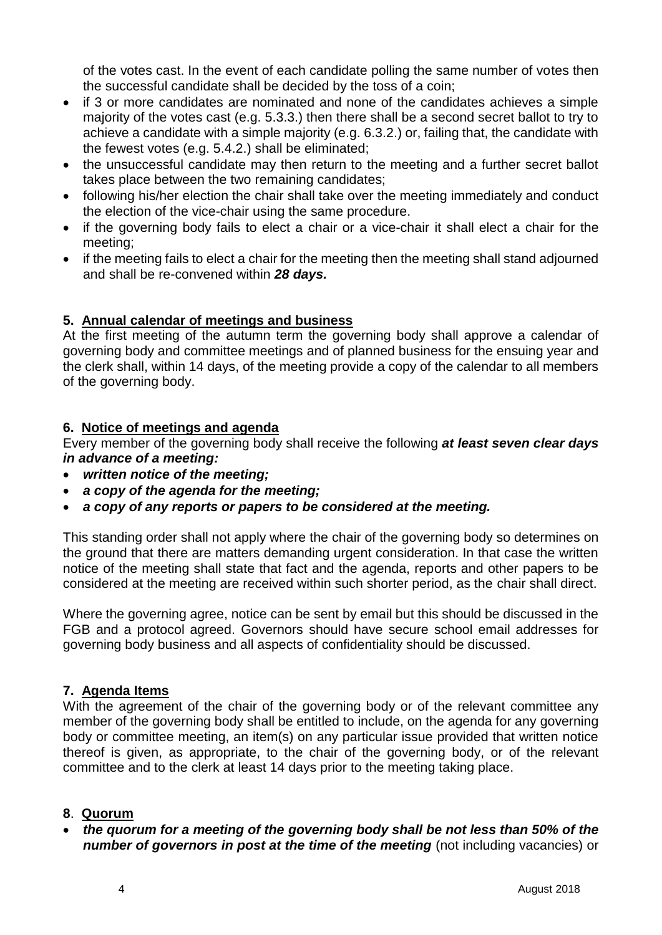of the votes cast. In the event of each candidate polling the same number of votes then the successful candidate shall be decided by the toss of a coin;

- if 3 or more candidates are nominated and none of the candidates achieves a simple majority of the votes cast (e.g. 5.3.3.) then there shall be a second secret ballot to try to achieve a candidate with a simple majority (e.g. 6.3.2.) or, failing that, the candidate with the fewest votes (e.g. 5.4.2.) shall be eliminated;
- the unsuccessful candidate may then return to the meeting and a further secret ballot takes place between the two remaining candidates;
- following his/her election the chair shall take over the meeting immediately and conduct the election of the vice-chair using the same procedure.
- if the governing body fails to elect a chair or a vice-chair it shall elect a chair for the meeting;
- if the meeting fails to elect a chair for the meeting then the meeting shall stand adjourned and shall be re-convened within *28 days.*

# **5. Annual calendar of meetings and business**

At the first meeting of the autumn term the governing body shall approve a calendar of governing body and committee meetings and of planned business for the ensuing year and the clerk shall, within 14 days, of the meeting provide a copy of the calendar to all members of the governing body.

# **6. Notice of meetings and agenda**

Every member of the governing body shall receive the following *at least seven clear days in advance of a meeting:* 

- *written notice of the meeting;*
- *a copy of the agenda for the meeting;*
- *a copy of any reports or papers to be considered at the meeting.*

This standing order shall not apply where the chair of the governing body so determines on the ground that there are matters demanding urgent consideration. In that case the written notice of the meeting shall state that fact and the agenda, reports and other papers to be considered at the meeting are received within such shorter period, as the chair shall direct.

Where the governing agree, notice can be sent by email but this should be discussed in the FGB and a protocol agreed. Governors should have secure school email addresses for governing body business and all aspects of confidentiality should be discussed.

# **7. Agenda Items**

With the agreement of the chair of the governing body or of the relevant committee any member of the governing body shall be entitled to include, on the agenda for any governing body or committee meeting, an item(s) on any particular issue provided that written notice thereof is given, as appropriate, to the chair of the governing body, or of the relevant committee and to the clerk at least 14 days prior to the meeting taking place.

# **8**. **Quorum**

 *the quorum for a meeting of the governing body shall be not less than 50% of the number of governors in post at the time of the meeting* (not including vacancies) or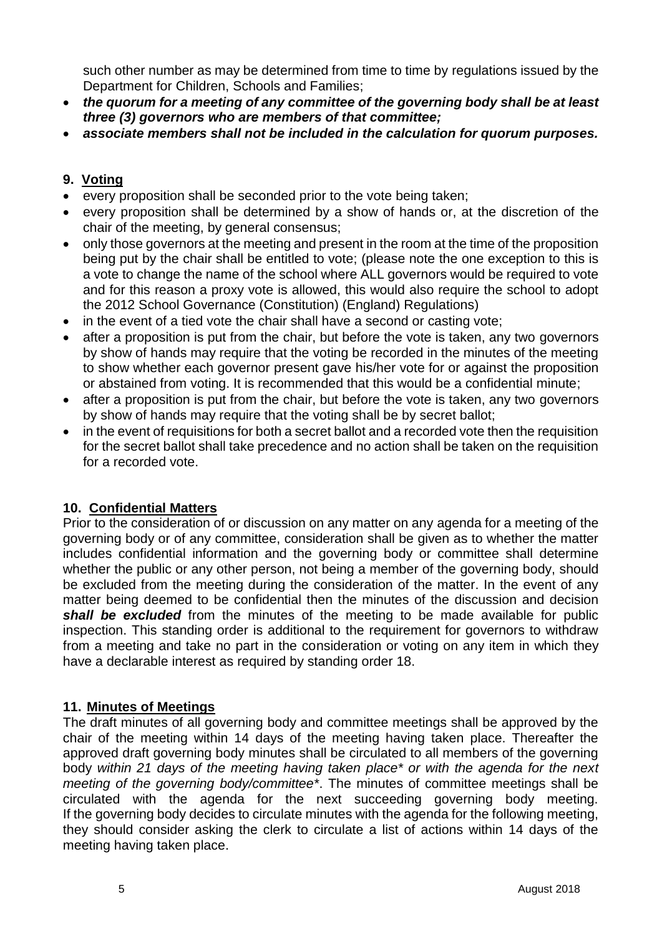such other number as may be determined from time to time by regulations issued by the Department for Children, Schools and Families;

- *the quorum for a meeting of any committee of the governing body shall be at least three (3) governors who are members of that committee;*
- *associate members shall not be included in the calculation for quorum purposes.*

#### **9. Voting**

- every proposition shall be seconded prior to the vote being taken;
- every proposition shall be determined by a show of hands or, at the discretion of the chair of the meeting, by general consensus;
- only those governors at the meeting and present in the room at the time of the proposition being put by the chair shall be entitled to vote; (please note the one exception to this is a vote to change the name of the school where ALL governors would be required to vote and for this reason a proxy vote is allowed, this would also require the school to adopt the 2012 School Governance (Constitution) (England) Regulations)
- in the event of a tied vote the chair shall have a second or casting vote;
- after a proposition is put from the chair, but before the vote is taken, any two governors by show of hands may require that the voting be recorded in the minutes of the meeting to show whether each governor present gave his/her vote for or against the proposition or abstained from voting. It is recommended that this would be a confidential minute;
- after a proposition is put from the chair, but before the vote is taken, any two governors by show of hands may require that the voting shall be by secret ballot;
- in the event of requisitions for both a secret ballot and a recorded vote then the requisition for the secret ballot shall take precedence and no action shall be taken on the requisition for a recorded vote.

#### **10. Confidential Matters**

Prior to the consideration of or discussion on any matter on any agenda for a meeting of the governing body or of any committee, consideration shall be given as to whether the matter includes confidential information and the governing body or committee shall determine whether the public or any other person, not being a member of the governing body, should be excluded from the meeting during the consideration of the matter. In the event of any matter being deemed to be confidential then the minutes of the discussion and decision *shall be excluded* from the minutes of the meeting to be made available for public inspection. This standing order is additional to the requirement for governors to withdraw from a meeting and take no part in the consideration or voting on any item in which they have a declarable interest as required by standing order 18.

#### **11. Minutes of Meetings**

The draft minutes of all governing body and committee meetings shall be approved by the chair of the meeting within 14 days of the meeting having taken place. Thereafter the approved draft governing body minutes shall be circulated to all members of the governing body *within 21 days of the meeting having taken place\* or with the agenda for the next meeting of the governing body/committee\**. The minutes of committee meetings shall be circulated with the agenda for the next succeeding governing body meeting. If the governing body decides to circulate minutes with the agenda for the following meeting, they should consider asking the clerk to circulate a list of actions within 14 days of the meeting having taken place.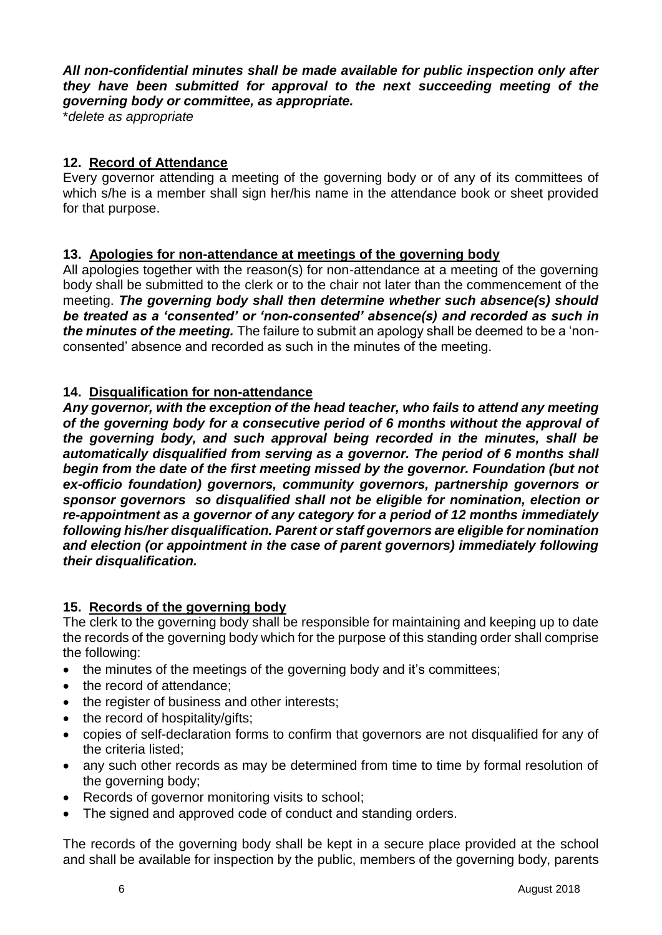*All non-confidential minutes shall be made available for public inspection only after they have been submitted for approval to the next succeeding meeting of the governing body or committee, as appropriate.*

\**delete as appropriate*

#### **12. Record of Attendance**

Every governor attending a meeting of the governing body or of any of its committees of which s/he is a member shall sign her/his name in the attendance book or sheet provided for that purpose.

#### **13. Apologies for non-attendance at meetings of the governing body**

All apologies together with the reason(s) for non-attendance at a meeting of the governing body shall be submitted to the clerk or to the chair not later than the commencement of the meeting. *The governing body shall then determine whether such absence(s) should be treated as a 'consented' or 'non-consented' absence(s) and recorded as such in the minutes of the meeting.* The failure to submit an apology shall be deemed to be a 'nonconsented' absence and recorded as such in the minutes of the meeting.

#### **14. Disqualification for non-attendance**

*Any governor, with the exception of the head teacher, who fails to attend any meeting of the governing body for a consecutive period of 6 months without the approval of the governing body, and such approval being recorded in the minutes, shall be automatically disqualified from serving as a governor. The period of 6 months shall begin from the date of the first meeting missed by the governor. Foundation (but not ex-officio foundation) governors, community governors, partnership governors or sponsor governors so disqualified shall not be eligible for nomination, election or re-appointment as a governor of any category for a period of 12 months immediately following his/her disqualification. Parent or staff governors are eligible for nomination and election (or appointment in the case of parent governors) immediately following their disqualification.* 

#### **15. Records of the governing body**

The clerk to the governing body shall be responsible for maintaining and keeping up to date the records of the governing body which for the purpose of this standing order shall comprise the following:

- the minutes of the meetings of the governing body and it's committees;
- the record of attendance;
- the register of business and other interests:
- the record of hospitality/gifts;
- copies of self-declaration forms to confirm that governors are not disqualified for any of the criteria listed;
- any such other records as may be determined from time to time by formal resolution of the governing body;
- Records of governor monitoring visits to school;
- The signed and approved code of conduct and standing orders.

The records of the governing body shall be kept in a secure place provided at the school and shall be available for inspection by the public, members of the governing body, parents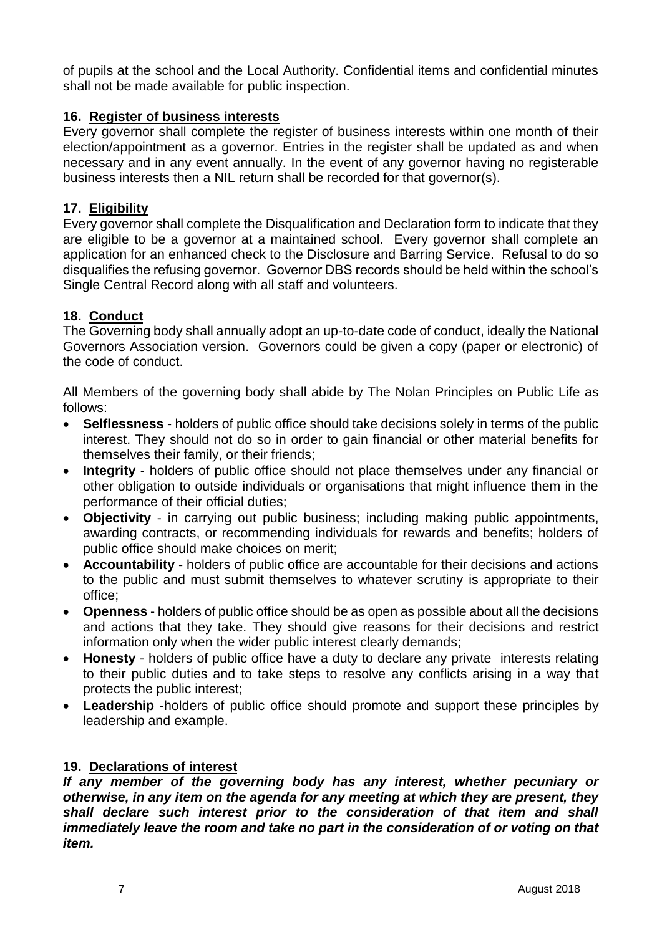of pupils at the school and the Local Authority. Confidential items and confidential minutes shall not be made available for public inspection.

#### **16. Register of business interests**

Every governor shall complete the register of business interests within one month of their election/appointment as a governor. Entries in the register shall be updated as and when necessary and in any event annually. In the event of any governor having no registerable business interests then a NIL return shall be recorded for that governor(s).

#### **17. Eligibility**

Every governor shall complete the Disqualification and Declaration form to indicate that they are eligible to be a governor at a maintained school. Every governor shall complete an application for an enhanced check to the Disclosure and Barring Service. Refusal to do so disqualifies the refusing governor. Governor DBS records should be held within the school's Single Central Record along with all staff and volunteers.

#### **18. Conduct**

The Governing body shall annually adopt an up-to-date code of conduct, ideally the National Governors Association version. Governors could be given a copy (paper or electronic) of the code of conduct.

All Members of the governing body shall abide by The Nolan Principles on Public Life as follows:

- **Selflessness** holders of public office should take decisions solely in terms of the public interest. They should not do so in order to gain financial or other material benefits for themselves their family, or their friends;
- **Integrity** holders of public office should not place themselves under any financial or other obligation to outside individuals or organisations that might influence them in the performance of their official duties;
- **Objectivity**  in carrying out public business; including making public appointments, awarding contracts, or recommending individuals for rewards and benefits; holders of public office should make choices on merit;
- **Accountability**  holders of public office are accountable for their decisions and actions to the public and must submit themselves to whatever scrutiny is appropriate to their office;
- **Openness**  holders of public office should be as open as possible about all the decisions and actions that they take. They should give reasons for their decisions and restrict information only when the wider public interest clearly demands;
- **Honesty**  holders of public office have a duty to declare any private interests relating to their public duties and to take steps to resolve any conflicts arising in a way that protects the public interest;
- **Leadership** -holders of public office should promote and support these principles by leadership and example.

#### **19. Declarations of interest**

*If any member of the governing body has any interest, whether pecuniary or otherwise, in any item on the agenda for any meeting at which they are present, they shall declare such interest prior to the consideration of that item and shall immediately leave the room and take no part in the consideration of or voting on that item.*